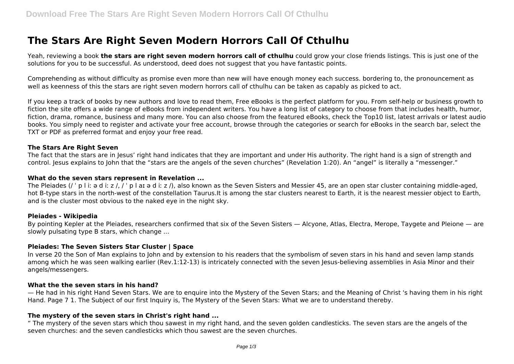# **The Stars Are Right Seven Modern Horrors Call Of Cthulhu**

Yeah, reviewing a book **the stars are right seven modern horrors call of cthulhu** could grow your close friends listings. This is just one of the solutions for you to be successful. As understood, deed does not suggest that you have fantastic points.

Comprehending as without difficulty as promise even more than new will have enough money each success. bordering to, the pronouncement as well as keenness of this the stars are right seven modern horrors call of cthulhu can be taken as capably as picked to act.

If you keep a track of books by new authors and love to read them, Free eBooks is the perfect platform for you. From self-help or business growth to fiction the site offers a wide range of eBooks from independent writers. You have a long list of category to choose from that includes health, humor, fiction, drama, romance, business and many more. You can also choose from the featured eBooks, check the Top10 list, latest arrivals or latest audio books. You simply need to register and activate your free account, browse through the categories or search for eBooks in the search bar, select the TXT or PDF as preferred format and enjoy your free read.

#### **The Stars Are Right Seven**

The fact that the stars are in Jesus' right hand indicates that they are important and under His authority. The right hand is a sign of strength and control. Jesus explains to John that the "stars are the angels of the seven churches" (Revelation 1:20). An "angel" is literally a "messenger."

#### **What do the seven stars represent in Revelation ...**

The Pleiades (/ ' p l i:  $\frac{1}{2}$  d i: z /, / ' p l ar a d i: z /), also known as the Seven Sisters and Messier 45, are an open star cluster containing middle-aged, hot B-type stars in the north-west of the constellation Taurus.It is among the star clusters nearest to Earth, it is the nearest messier object to Earth, and is the cluster most obvious to the naked eye in the night sky.

#### **Pleiades - Wikipedia**

By pointing Kepler at the Pleiades, researchers confirmed that six of the Seven Sisters — Alcyone, Atlas, Electra, Merope, Taygete and Pleione — are slowly pulsating type B stars, which change ...

#### **Pleiades: The Seven Sisters Star Cluster | Space**

In verse 20 the Son of Man explains to John and by extension to his readers that the symbolism of seven stars in his hand and seven lamp stands among which he was seen walking earlier (Rev.1:12-13) is intricately connected with the seven Jesus-believing assemblies in Asia Minor and their angels/messengers.

#### **What the the seven stars in his hand?**

— He had in his right Hand Seven Stars. We are to enquire into the Mystery of the Seven Stars; and the Meaning of Christ 's having them in his right Hand. Page 7 1. The Subject of our first Inquiry is, The Mystery of the Seven Stars: What we are to understand thereby.

#### **The mystery of the seven stars in Christ's right hand ...**

" The mystery of the seven stars which thou sawest in my right hand, and the seven golden candlesticks. The seven stars are the angels of the seven churches: and the seven candlesticks which thou sawest are the seven churches.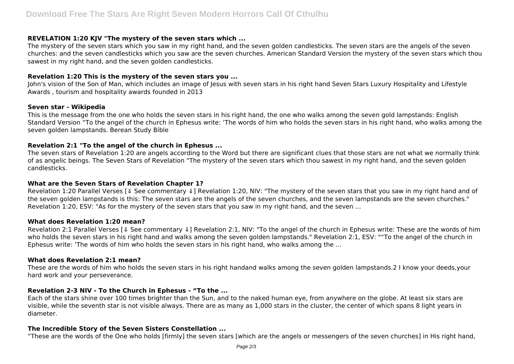## **REVELATION 1:20 KJV "The mystery of the seven stars which ...**

The mystery of the seven stars which you saw in my right hand, and the seven golden candlesticks. The seven stars are the angels of the seven churches: and the seven candlesticks which you saw are the seven churches. American Standard Version the mystery of the seven stars which thou sawest in my right hand, and the seven golden candlesticks.

## **Revelation 1:20 This is the mystery of the seven stars you ...**

John's vision of the Son of Man, which includes an image of Jesus with seven stars in his right hand Seven Stars Luxury Hospitality and Lifestyle Awards , tourism and hospitality awards founded in 2013

#### **Seven star - Wikipedia**

This is the message from the one who holds the seven stars in his right hand, the one who walks among the seven gold lampstands: English Standard Version "To the angel of the church in Ephesus write: 'The words of him who holds the seven stars in his right hand, who walks among the seven golden lampstands. Berean Study Bible

## **Revelation 2:1 "To the angel of the church in Ephesus ...**

The seven stars of Revelation 1:20 are angels according to the Word but there are significant clues that those stars are not what we normally think of as angelic beings. The Seven Stars of Revelation "The mystery of the seven stars which thou sawest in my right hand, and the seven golden candlesticks.

## **What are the Seven Stars of Revelation Chapter 1?**

Revelation 1:20 Parallel Verses [↓ See commentary ↓] Revelation 1:20, NIV: "The mystery of the seven stars that you saw in my right hand and of the seven golden lampstands is this: The seven stars are the angels of the seven churches, and the seven lampstands are the seven churches." Revelation 1:20, ESV: "As for the mystery of the seven stars that you saw in my right hand, and the seven ...

## **What does Revelation 1:20 mean?**

Revelation 2:1 Parallel Verses [↓ See commentary ↓] Revelation 2:1, NIV: "To the angel of the church in Ephesus write: These are the words of him who holds the seven stars in his right hand and walks among the seven golden lampstands." Revelation 2:1, ESV: ""To the angel of the church in Ephesus write: 'The words of him who holds the seven stars in his right hand, who walks among the ...

## **What does Revelation 2:1 mean?**

These are the words of him who holds the seven stars in his right handand walks among the seven golden lampstands.2 I know your deeds,your hard work and your perseverance.

## **Revelation 2-3 NIV - To the Church in Ephesus - "To the ...**

Each of the stars shine over 100 times brighter than the Sun, and to the naked human eye, from anywhere on the globe. At least six stars are visible, while the seventh star is not visible always. There are as many as 1,000 stars in the cluster, the center of which spans 8 light years in diameter.

## **The Incredible Story of the Seven Sisters Constellation ...**

"These are the words of the One who holds [firmly] the seven stars [which are the angels or messengers of the seven churches] in His right hand,